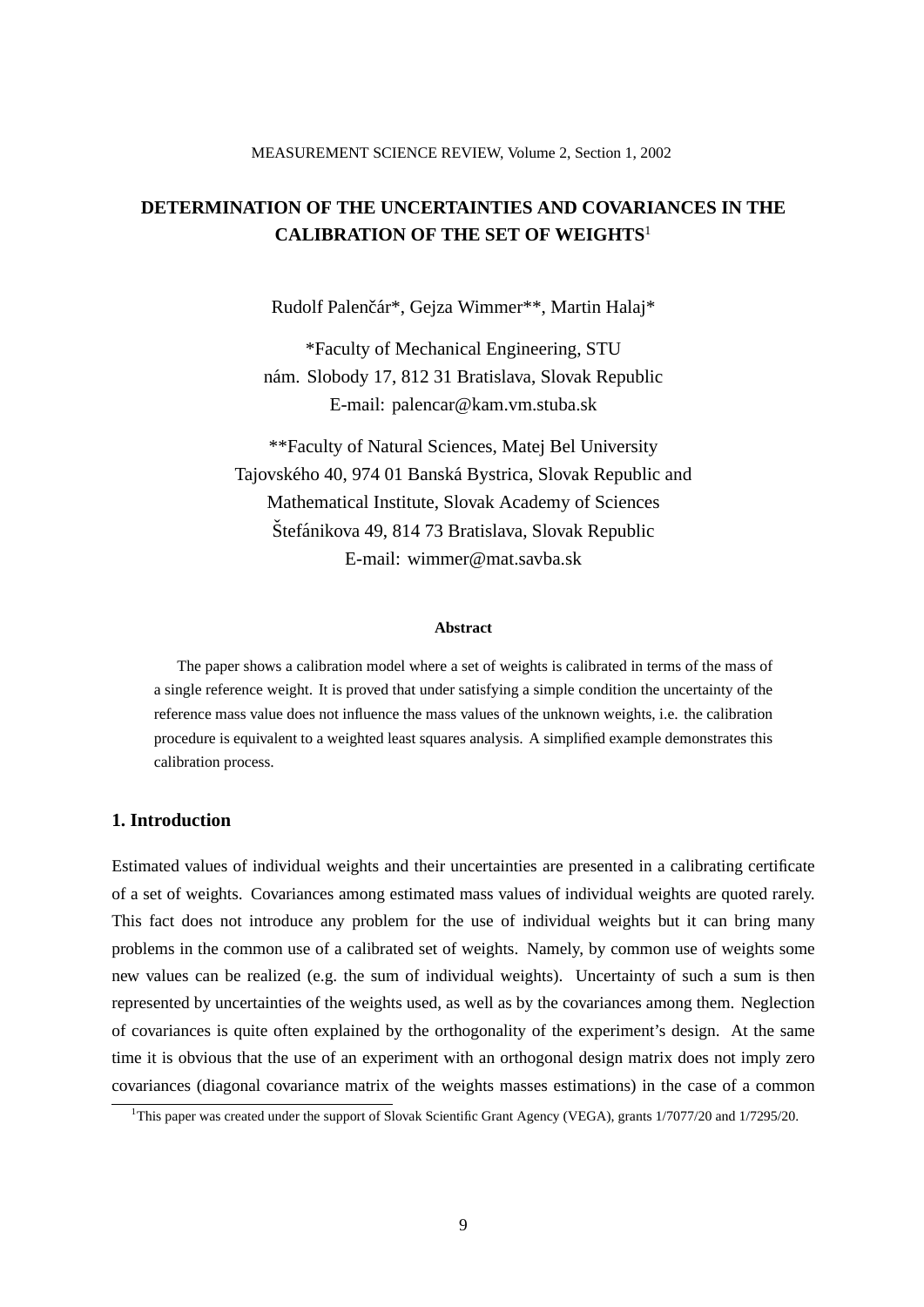# **DETERMINATION OF THE UNCERTAINTIES AND COVARIANCES IN THE CALIBRATION OF THE SET OF WEIGHTS**<sup>1</sup>

Rudolf Palenčár\*, Gejza Wimmer\*\*, Martin Halaj\*

\*Faculty of Mechanical Engineering, STU nám. Slobody 17, 812 31 Bratislava, Slovak Republic E-mail: palencar@kam.vm.stuba.sk

\*\*Faculty of Natural Sciences, Matej Bel University Tajovského 40, 974 01 Banská Bystrica, Slovak Republic and Mathematical Institute, Slovak Academy of Sciences Štefánikova 49, 814 73 Bratislava, Slovak Republic E-mail: wimmer@mat.savba.sk

### **Abstract**

The paper shows a calibration model where a set of weights is calibrated in terms of the mass of a single reference weight. It is proved that under satisfying a simple condition the uncertainty of the reference mass value does not influence the mass values of the unknown weights, i.e. the calibration procedure is equivalent to a weighted least squares analysis. A simplified example demonstrates this calibration process.

# **1. Introduction**

Estimated values of individual weights and their uncertainties are presented in a calibrating certificate of a set of weights. Covariances among estimated mass values of individual weights are quoted rarely. This fact does not introduce any problem for the use of individual weights but it can bring many problems in the common use of a calibrated set of weights. Namely, by common use of weights some new values can be realized (e.g. the sum of individual weights). Uncertainty of such a sum is then represented by uncertainties of the weights used, as well as by the covariances among them. Neglection of covariances is quite often explained by the orthogonality of the experiment's design. At the same time it is obvious that the use of an experiment with an orthogonal design matrix does not imply zero covariances (diagonal covariance matrix of the weights masses estimations) in the case of a common

<sup>&</sup>lt;sup>1</sup>This paper was created under the support of Slovak Scientific Grant Agency (VEGA), grants 1/7077/20 and 1/7295/20.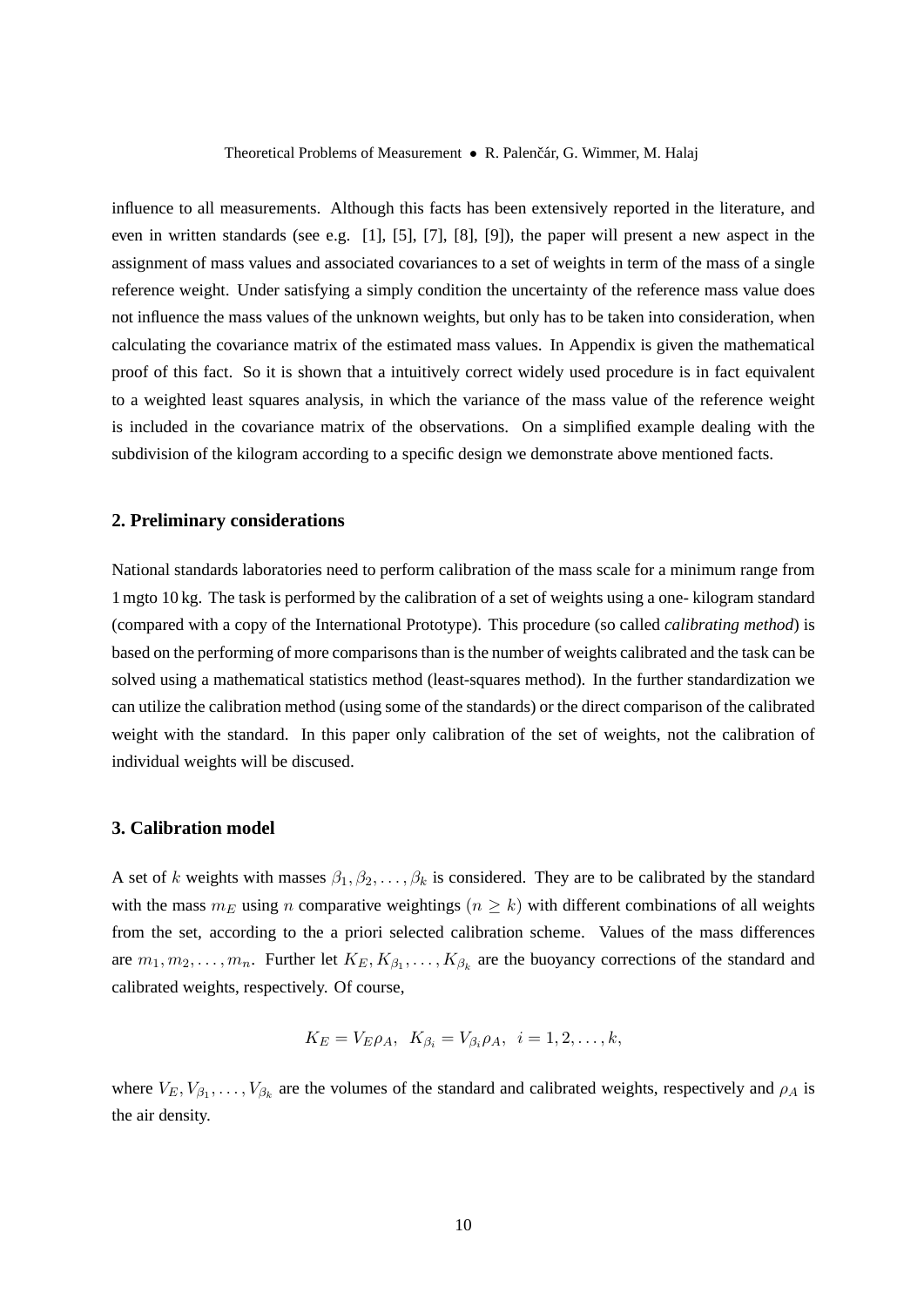Theoretical Problems of Measurement • R. Palenčár, G. Wimmer, M. Halaj

influence to all measurements. Although this facts has been extensively reported in the literature, and even in written standards (see e.g. [1], [5], [7], [8], [9]), the paper will present a new aspect in the assignment of mass values and associated covariances to a set of weights in term of the mass of a single reference weight. Under satisfying a simply condition the uncertainty of the reference mass value does not influence the mass values of the unknown weights, but only has to be taken into consideration, when calculating the covariance matrix of the estimated mass values. In Appendix is given the mathematical proof of this fact. So it is shown that a intuitively correct widely used procedure is in fact equivalent to a weighted least squares analysis, in which the variance of the mass value of the reference weight is included in the covariance matrix of the observations. On a simplified example dealing with the subdivision of the kilogram according to a specific design we demonstrate above mentioned facts.

## **2. Preliminary considerations**

National standards laboratories need to perform calibration of the mass scale for a minimum range from 1 mgto 10 kg. The task is performed by the calibration of a set of weights using a one- kilogram standard (compared with a copy of the International Prototype). This procedure (so called *calibrating method*) is based on the performing of more comparisons than is the number of weights calibrated and the task can be solved using a mathematical statistics method (least-squares method). In the further standardization we can utilize the calibration method (using some of the standards) or the direct comparison of the calibrated weight with the standard. In this paper only calibration of the set of weights, not the calibration of individual weights will be discused.

## **3. Calibration model**

A set of k weights with masses  $\beta_1, \beta_2, \ldots, \beta_k$  is considered. They are to be calibrated by the standard with the mass  $m_E$  using n comparative weightings  $(n \geq k)$  with different combinations of all weights from the set, according to the a priori selected calibration scheme. Values of the mass differences are  $m_1, m_2, \ldots, m_n$ . Further let  $K_E, K_{\beta_1}, \ldots, K_{\beta_k}$  are the buoyancy corrections of the standard and calibrated weights, respectively. Of course,

$$
K_E = V_E \rho_A, \ K_{\beta_i} = V_{\beta_i} \rho_A, \ i = 1, 2, \dots, k,
$$

where  $V_E, V_{\beta_1}, \ldots, V_{\beta_k}$  are the volumes of the standard and calibrated weights, respectively and  $\rho_A$  is the air density.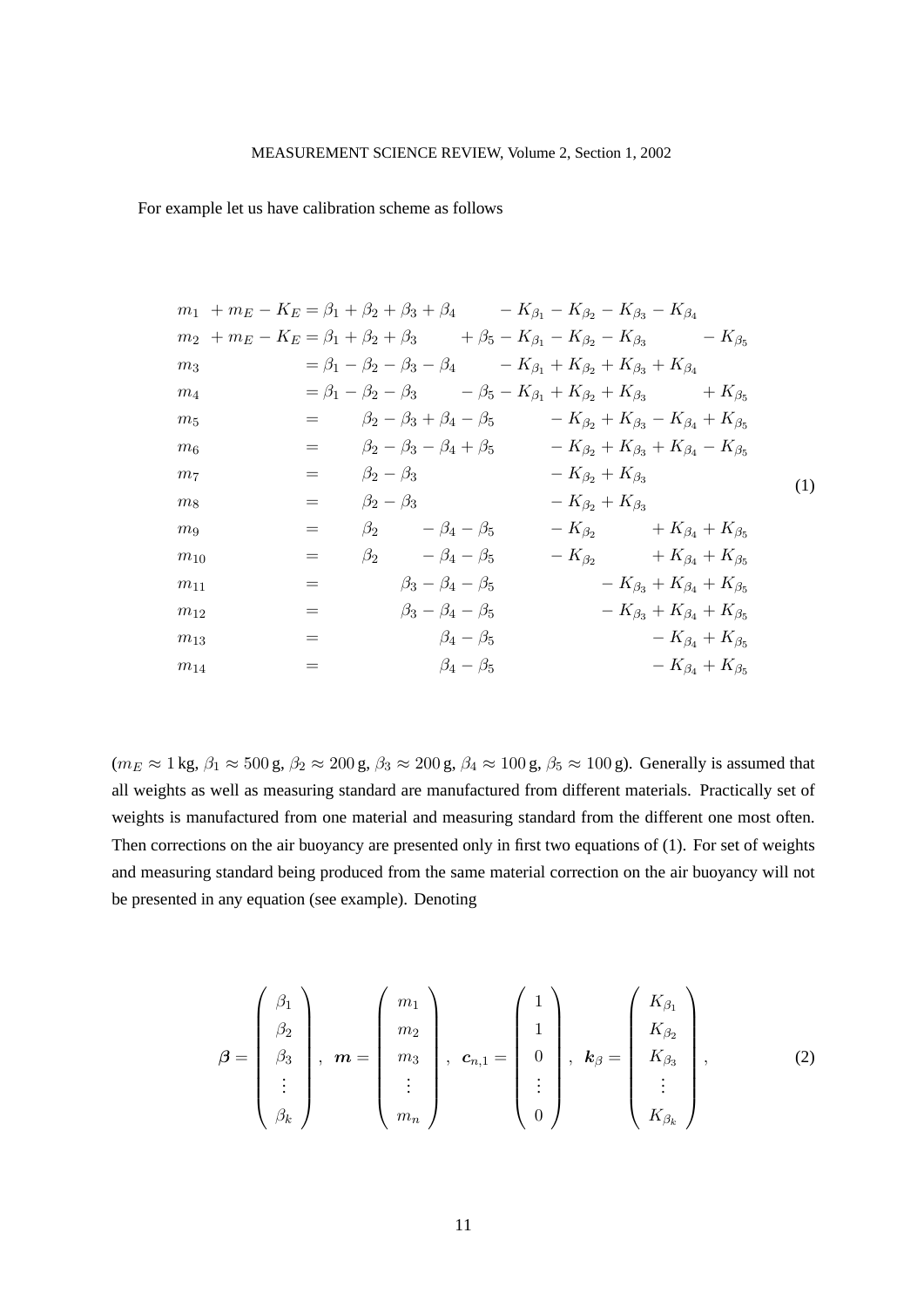For example let us have calibration scheme as follows

|                | $m_1 + m_E - K_E = \beta_1 + \beta_2 + \beta_3 + \beta_4$ $- K_{\beta_1} - K_{\beta_2} - K_{\beta_3} - K_{\beta_4}$   |                         |                                                                                                       |                                             |                                             |     |
|----------------|-----------------------------------------------------------------------------------------------------------------------|-------------------------|-------------------------------------------------------------------------------------------------------|---------------------------------------------|---------------------------------------------|-----|
|                | $m_2 + m_E - K_E = \beta_1 + \beta_2 + \beta_3$ $+ \beta_5 - K_{\beta_1} - K_{\beta_2} - K_{\beta_3}$ $- K_{\beta_5}$ |                         |                                                                                                       |                                             |                                             |     |
| m <sub>3</sub> |                                                                                                                       |                         | $= \beta_1 - \beta_2 - \beta_3 - \beta_4$ $- K_{\beta_1} + K_{\beta_2} + K_{\beta_3} + K_{\beta_4}$   |                                             |                                             |     |
| m <sub>4</sub> |                                                                                                                       |                         | $= \beta_1 - \beta_2 - \beta_3$ $- \beta_5 - K_{\beta_1} + K_{\beta_2} + K_{\beta_3}$ $+ K_{\beta_5}$ |                                             |                                             |     |
| $m_5$          |                                                                                                                       |                         | $=$ $\beta_2 - \beta_3 + \beta_4 - \beta_5$ $- K_{\beta_2} + K_{\beta_3} - K_{\beta_4} + K_{\beta_5}$ |                                             |                                             |     |
| m <sub>6</sub> |                                                                                                                       |                         | = $\beta_2 - \beta_3 - \beta_4 + \beta_5$ $- K_{\beta_2} + K_{\beta_3} + K_{\beta_4} - K_{\beta_5}$   |                                             |                                             |     |
| m <sub>7</sub> |                                                                                                                       | $=$ $\beta_2 - \beta_3$ |                                                                                                       | $-K_{\beta_2}+K_{\beta_3}$                  |                                             | (1) |
| m <sub>8</sub> |                                                                                                                       | $=$ $\beta_2 - \beta_3$ |                                                                                                       | $-K_{\beta_2}+K_{\beta_3}$                  |                                             |     |
| m <sub>9</sub> | $=$                                                                                                                   |                         | $\beta_2$ $-\beta_4 - \beta_5$                                                                        | $- K_{\beta_2} + K_{\beta_4} + K_{\beta_5}$ |                                             |     |
| $m_{10}$       | $=$                                                                                                                   |                         | $\beta_2$ $-\beta_4 - \beta_5$                                                                        | $-K_{\beta_2}$ $+K_{\beta_4}+K_{\beta_5}$   |                                             |     |
| $m_{11}$       | $=$                                                                                                                   |                         | $\beta_3 - \beta_4 - \beta_5$                                                                         |                                             | $- K_{\beta_3} + K_{\beta_4} + K_{\beta_5}$ |     |
| $m_{12}$       | $=$                                                                                                                   |                         | $\beta_3 - \beta_4 - \beta_5$                                                                         |                                             | $-K_{\beta_3}+K_{\beta_4}+K_{\beta_5}$      |     |
| $m_{13}$       | =                                                                                                                     |                         | $\beta_4-\beta_5$                                                                                     |                                             | $- K_{\beta_4} + K_{\beta_5}$               |     |
| $m_{14}$       | $=$                                                                                                                   |                         | $\beta_4-\beta_5$                                                                                     |                                             | $-K_{\beta_4}+K_{\beta_5}$                  |     |

 $(m_E \approx 1 \text{ kg}, \beta_1 \approx 500 \text{ g}, \beta_2 \approx 200 \text{ g}, \beta_3 \approx 200 \text{ g}, \beta_4 \approx 100 \text{ g}, \beta_5 \approx 100 \text{ g}$ ). Generally is assumed that all weights as well as measuring standard are manufactured from different materials. Practically set of weights is manufactured from one material and measuring standard from the different one most often. Then corrections on the air buoyancy are presented only in first two equations of (1). For set of weights and measuring standard being produced from the same material correction on the air buoyancy will not be presented in any equation (see example). Denoting

$$
\boldsymbol{\beta} = \begin{pmatrix} \beta_1 \\ \beta_2 \\ \beta_3 \\ \vdots \\ \beta_k \end{pmatrix}, \quad \boldsymbol{m} = \begin{pmatrix} m_1 \\ m_2 \\ m_3 \\ \vdots \\ m_n \end{pmatrix}, \quad \boldsymbol{c}_{n,1} = \begin{pmatrix} 1 \\ 1 \\ 0 \\ \vdots \\ 0 \end{pmatrix}, \quad \boldsymbol{k}_{\beta} = \begin{pmatrix} K_{\beta_1} \\ K_{\beta_2} \\ K_{\beta_3} \\ \vdots \\ K_{\beta_k} \end{pmatrix}, \tag{2}
$$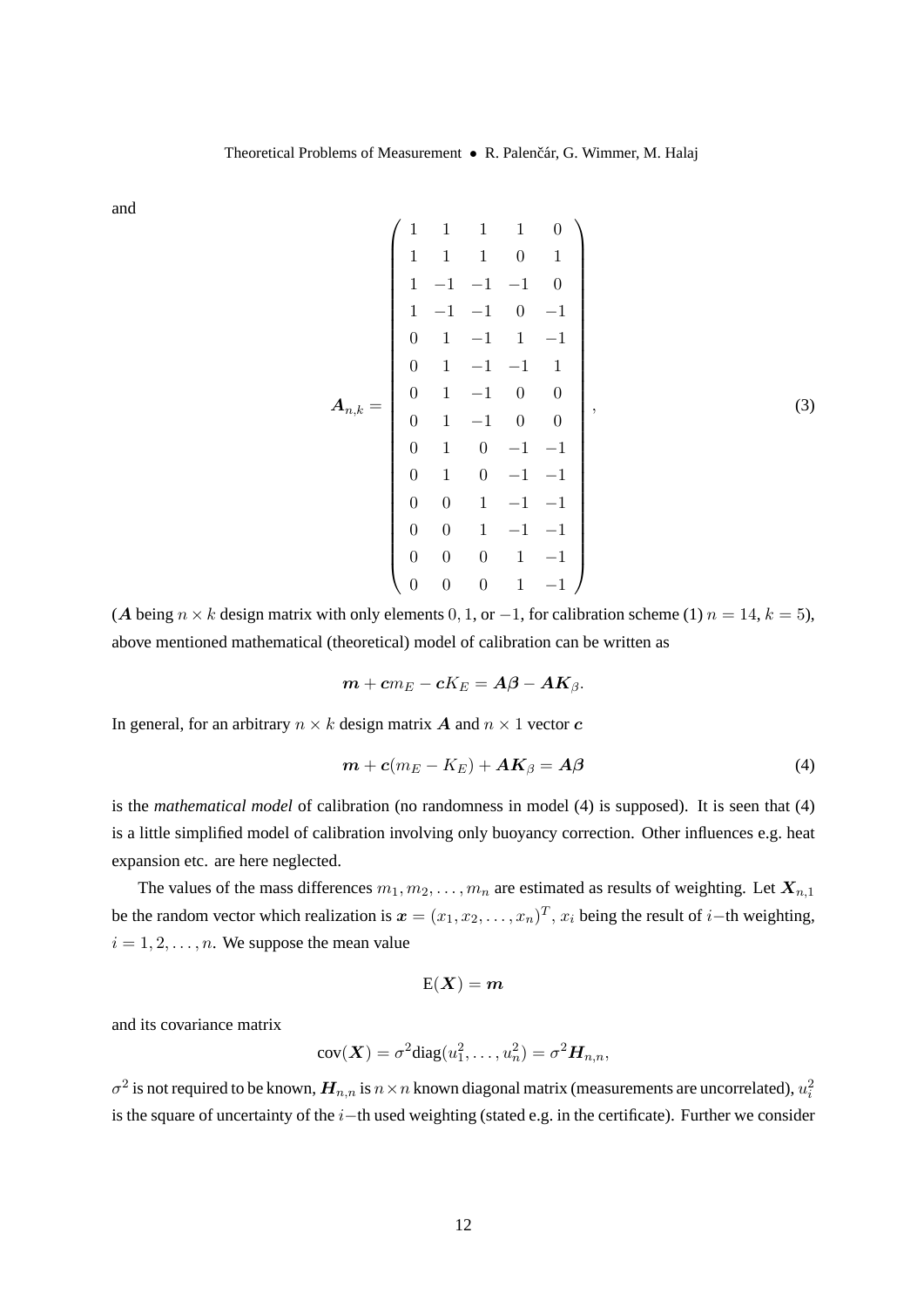and

$$
A_{n,k} = \begin{pmatrix} 1 & 1 & 1 & 1 & 0 \\ 1 & 1 & 1 & 0 & 1 \\ 1 & -1 & -1 & -1 & 0 \\ 1 & -1 & 1 & 0 & -1 \\ 0 & 1 & -1 & 1 & -1 \\ 0 & 1 & -1 & 0 & 0 \\ 0 & 1 & -1 & 0 & 0 \\ 0 & 1 & 0 & -1 & -1 \\ 0 & 1 & 0 & -1 & -1 \\ 0 & 0 & 1 & -1 & -1 \\ 0 & 0 & 1 & -1 & -1 \\ 0 & 0 & 0 & 1 & -1 \end{pmatrix},
$$
(3)

(A being  $n \times k$  design matrix with only elements 0, 1, or -1, for calibration scheme (1)  $n = 14$ ,  $k = 5$ ), above mentioned mathematical (theoretical) model of calibration can be written as

$$
m + cm_E - cK_E = A\beta - AK_{\beta}.
$$

In general, for an arbitrary  $n \times k$  design matrix A and  $n \times 1$  vector c

$$
\boldsymbol{m} + \boldsymbol{c}(m_E - K_E) + \boldsymbol{A}\boldsymbol{K}_{\beta} = \boldsymbol{A}\boldsymbol{\beta}
$$
\n(4)

is the *mathematical model* of calibration (no randomness in model (4) is supposed). It is seen that (4) is a little simplified model of calibration involving only buoyancy correction. Other influences e.g. heat expansion etc. are here neglected.

The values of the mass differences  $m_1, m_2, \ldots, m_n$  are estimated as results of weighting. Let  $X_{n,1}$ be the random vector which realization is  $x = (x_1, x_2, \dots, x_n)^T$ ,  $x_i$  being the result of *i*–th weighting,  $i = 1, 2, \ldots, n$ . We suppose the mean value

$$
\mathrm{E}(\boldsymbol{X}) = \boldsymbol{m}
$$

and its covariance matrix

$$
cov(\boldsymbol{X}) = \sigma^2 diag(u_1^2, \dots, u_n^2) = \sigma^2 \boldsymbol{H}_{n,n},
$$

 $\sigma^2$  is not required to be known,  $\bm{H}_{n,n}$  is  $n \times n$  known diagonal matrix (measurements are uncorrelated),  $u_i^2$ is the square of uncertainty of the i−th used weighting (stated e.g. in the certificate). Further we consider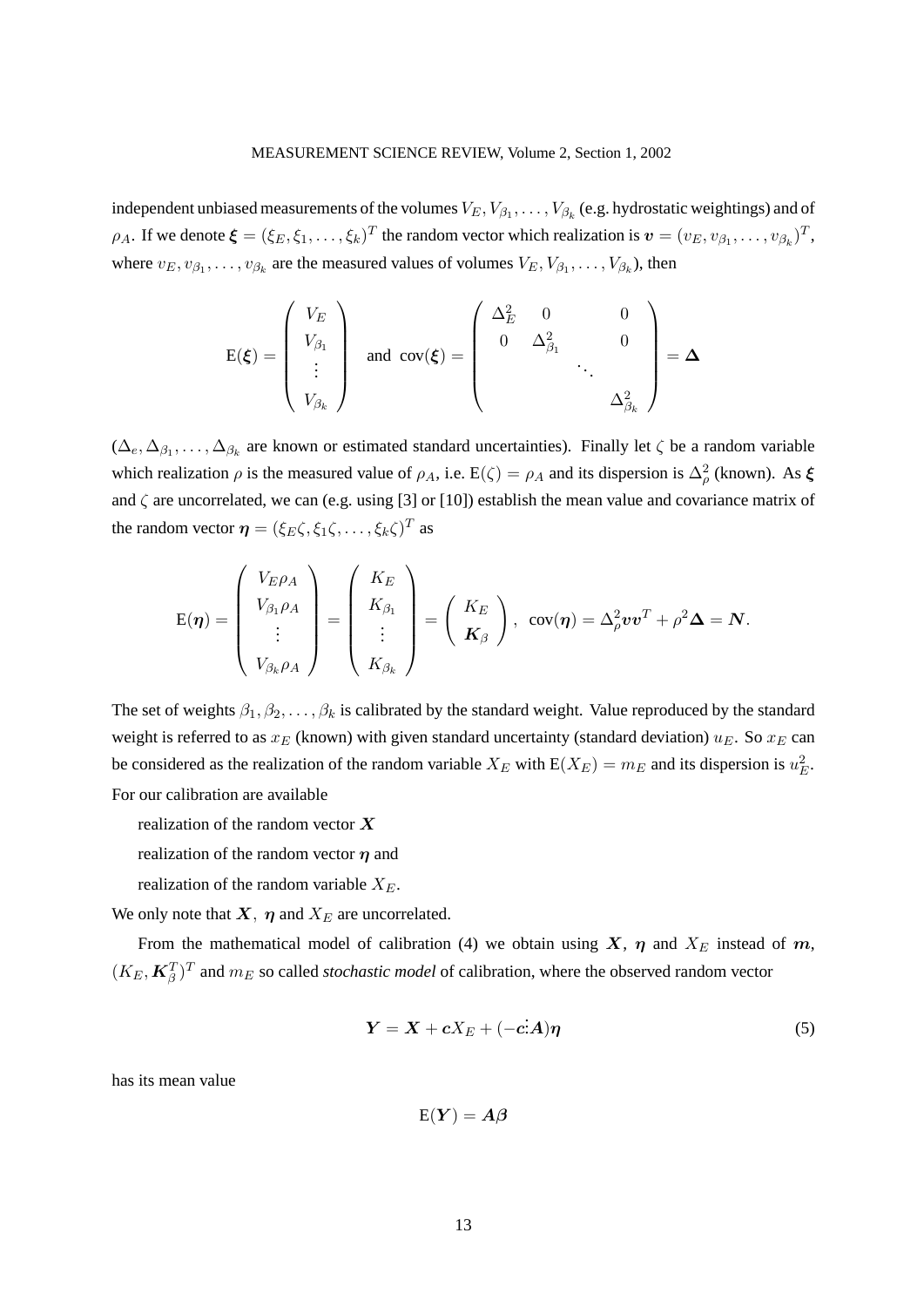independent unbiased measurements of the volumes  $V_E, V_{\beta_1}, \ldots, V_{\beta_k}$  (e.g. hydrostatic weightings) and of  $\rho_A$ . If we denote  $\boldsymbol{\xi} = (\xi_E, \xi_1, \dots, \xi_k)^T$  the random vector which realization is  $\boldsymbol{v} = (v_E, v_{\beta_1}, \dots, v_{\beta_k})^T$ , where  $v_E, v_{\beta_1}, \dots, v_{\beta_k}$  are the measured values of volumes  $V_E, V_{\beta_1}, \dots, V_{\beta_k}$ , then

$$
\mathbf{E}(\boldsymbol{\xi}) = \begin{pmatrix} V_E \\ V_{\beta_1} \\ \vdots \\ V_{\beta_k} \end{pmatrix} \text{ and } \mathbf{cov}(\boldsymbol{\xi}) = \begin{pmatrix} \Delta_E^2 & 0 & 0 \\ 0 & \Delta_{\beta_1}^2 & 0 \\ & \ddots & \ddots \\ & & \Delta_{\beta_k}^2 \end{pmatrix} = \boldsymbol{\Delta}
$$

 $(\Delta_e, \Delta_{\beta_1}, \ldots, \Delta_{\beta_k})$  are known or estimated standard uncertainties). Finally let  $\zeta$  be a random variable which realization  $\rho$  is the measured value of  $\rho_A$ , i.e.  $E(\zeta) = \rho_A$  and its dispersion is  $\Delta^2_\rho$  (known). As  $\xi$ and  $\zeta$  are uncorrelated, we can (e.g. using [3] or [10]) establish the mean value and covariance matrix of the random vector  $\boldsymbol{\eta} = (\xi_E \zeta, \xi_1 \zeta, \dots, \xi_k \zeta)^T$  as

$$
E(\boldsymbol{\eta}) = \begin{pmatrix} V_{E}\rho_{A} \\ V_{\beta_{1}}\rho_{A} \\ \vdots \\ V_{\beta_{k}}\rho_{A} \end{pmatrix} = \begin{pmatrix} K_{E} \\ K_{\beta_{1}} \\ \vdots \\ K_{\beta_{k}} \end{pmatrix} = \begin{pmatrix} K_{E} \\ K_{\beta} \end{pmatrix}, \ \text{cov}(\boldsymbol{\eta}) = \Delta_{\rho}^{2}v v^{T} + \rho^{2} \Delta = N.
$$

The set of weights  $\beta_1, \beta_2, \ldots, \beta_k$  is calibrated by the standard weight. Value reproduced by the standard weight is referred to as  $x_E$  (known) with given standard uncertainty (standard deviation)  $u_E$ . So  $x_E$  can be considered as the realization of the random variable  $X_E$  with  $E(X_E) = m_E$  and its dispersion is  $u_E^2$ . For our calibration are available

realization of the random vector  $X$ 

realization of the random vector  $\eta$  and

realization of the random variable  $X_E$ .

We only note that  $X$ ,  $\eta$  and  $X_E$  are uncorrelated.

From the mathematical model of calibration (4) we obtain using X,  $\eta$  and  $X_E$  instead of m,  $(K_E, \boldsymbol{K}_{\beta}^T)^T$  and  $m_E$  so called *stochastic model* of calibration, where the observed random vector

$$
Y = X + cX_E + (-cA)\eta
$$
 (5)

has its mean value

$$
\mathrm{E}(Y)=A\beta
$$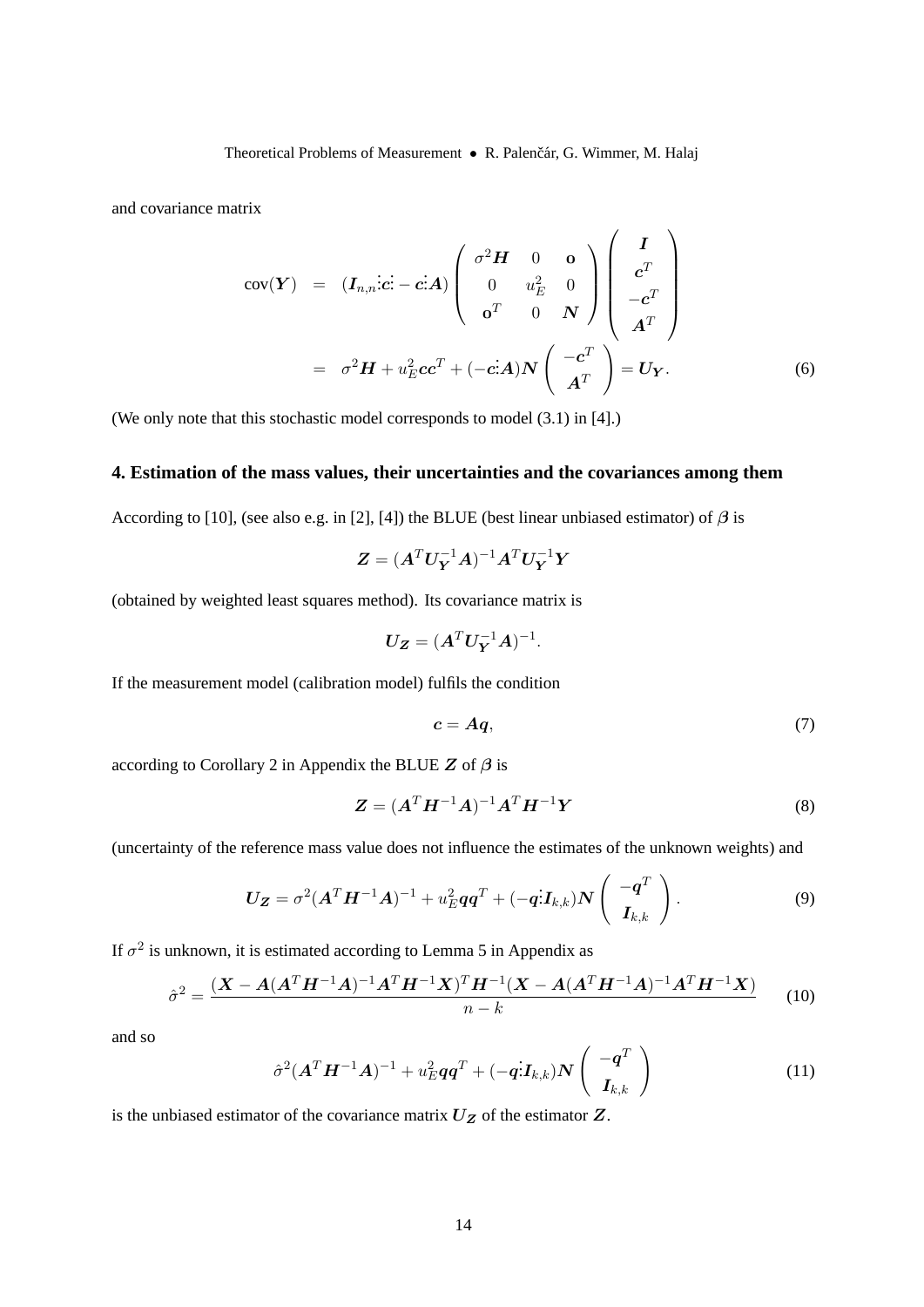Theoretical Problems of Measurement • R. Palenčár, G. Wimmer, M. Halaj

and covariance matrix

$$
cov(\boldsymbol{Y}) = (\boldsymbol{I}_{n,n}: \boldsymbol{c}: -\boldsymbol{c}: \boldsymbol{A}) \begin{pmatrix} \sigma^2 \boldsymbol{H} & 0 & \boldsymbol{0} \\ 0 & u_E^2 & 0 \\ \sigma^T & 0 & \boldsymbol{N} \end{pmatrix} \begin{pmatrix} \boldsymbol{I} \\ \boldsymbol{c}^T \\ -\boldsymbol{c}^T \\ \boldsymbol{A}^T \end{pmatrix}
$$
\n
$$
= \sigma^2 \boldsymbol{H} + u_E^2 \boldsymbol{c} \boldsymbol{c}^T + (-\boldsymbol{c}: \boldsymbol{A}) \boldsymbol{N} \begin{pmatrix} -\boldsymbol{c}^T \\ \boldsymbol{A}^T \end{pmatrix} = \boldsymbol{U}_{\boldsymbol{Y}}.
$$
\n(6)

(We only note that this stochastic model corresponds to model (3.1) in [4].)

# **4. Estimation of the mass values, their uncertainties and the covariances among them**

According to [10], (see also e.g. in [2], [4]) the BLUE (best linear unbiased estimator) of  $\beta$  is

$$
\pmb{Z}=(\pmb{A}^T\pmb{U}_{\pmb{Y}}^{-1}\pmb{A})^{-1}\pmb{A}^T\pmb{U}_{\pmb{Y}}^{-1}\pmb{Y}
$$

(obtained by weighted least squares method). Its covariance matrix is

$$
\boldsymbol{U_Z} = (\boldsymbol{A}^T \boldsymbol{U_Y}^{-1} \boldsymbol{A})^{-1}.
$$

If the measurement model (calibration model) fulfils the condition

$$
c = Aq, \tag{7}
$$

according to Corollary 2 in Appendix the BLUE Z of  $\beta$  is

$$
Z = (A^T H^{-1} A)^{-1} A^T H^{-1} Y \tag{8}
$$

(uncertainty of the reference mass value does not influence the estimates of the unknown weights) and

$$
\boldsymbol{U}_{\boldsymbol{Z}} = \sigma^2 (\boldsymbol{A}^T \boldsymbol{H}^{-1} \boldsymbol{A})^{-1} + u_E^2 \boldsymbol{q} \boldsymbol{q}^T + (-\boldsymbol{q} \cdot \boldsymbol{I}_{k,k}) \boldsymbol{N} \left( \begin{array}{c} -\boldsymbol{q}^T \\ \boldsymbol{I}_{k,k} \end{array} \right). \tag{9}
$$

If  $\sigma^2$  is unknown, it is estimated according to Lemma 5 in Appendix as

$$
\hat{\sigma}^2 = \frac{(\mathbf{X} - \mathbf{A}(\mathbf{A}^T \mathbf{H}^{-1} \mathbf{A})^{-1} \mathbf{A}^T \mathbf{H}^{-1} \mathbf{X})^T \mathbf{H}^{-1} (\mathbf{X} - \mathbf{A}(\mathbf{A}^T \mathbf{H}^{-1} \mathbf{A})^{-1} \mathbf{A}^T \mathbf{H}^{-1} \mathbf{X})}{n - k}
$$
(10)

and so

$$
\hat{\sigma}^2 (\boldsymbol{A}^T \boldsymbol{H}^{-1} \boldsymbol{A})^{-1} + u_E^2 \boldsymbol{q} \boldsymbol{q}^T + (-\boldsymbol{q} \cdot \boldsymbol{I}_{k,k}) \boldsymbol{N} \left( \begin{array}{c} -\boldsymbol{q}^T \\ \boldsymbol{I}_{k,k} \end{array} \right) \tag{11}
$$

is the unbiased estimator of the covariance matrix  $U_Z$  of the estimator  $Z$ .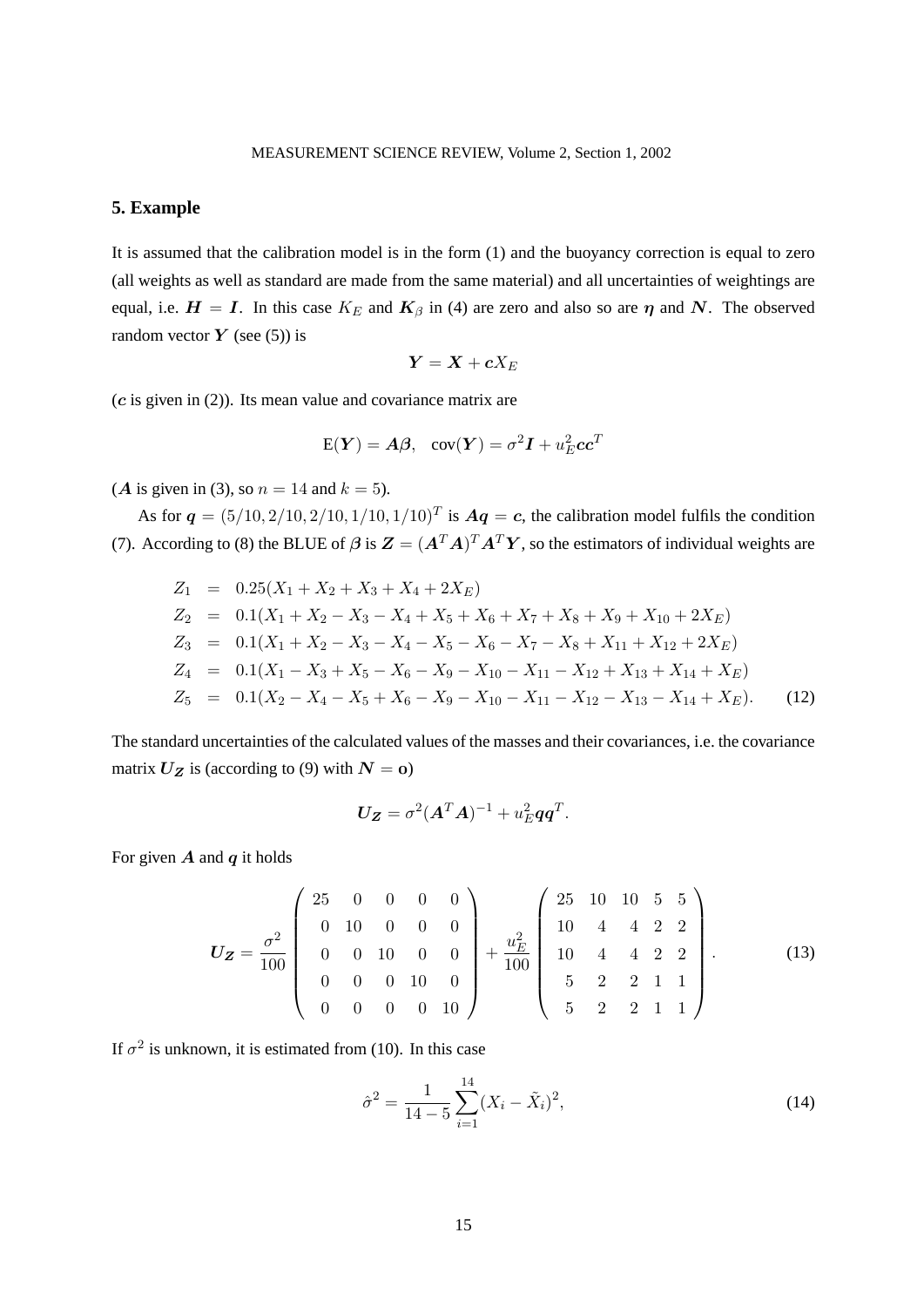## **5. Example**

It is assumed that the calibration model is in the form (1) and the buoyancy correction is equal to zero (all weights as well as standard are made from the same material) and all uncertainties of weightings are equal, i.e.  $H = I$ . In this case  $K_E$  and  $K_\beta$  in (4) are zero and also so are  $\eta$  and N. The observed random vector  $\boldsymbol{Y}$  (see (5)) is

$$
\boldsymbol{Y}=\boldsymbol{X}+\boldsymbol{c}X_E
$$

 $(c$  is given in  $(2)$ ). Its mean value and covariance matrix are

$$
E(Y) = A\beta
$$
,  $cov(Y) = \sigma^2 I + u_E^2 c c^T$ 

(*A* is given in (3), so  $n = 14$  and  $k = 5$ ).

As for  $q = (5/10, 2/10, 2/10, 1/10, 1/10)^T$  is  $Aq = c$ , the calibration model fulfils the condition (7). According to (8) the BLUE of  $\beta$  is  $\mathbf{Z} = (\mathbf{A}^T \mathbf{A})^T \mathbf{A}^T \mathbf{Y}$ , so the estimators of individual weights are

$$
Z_1 = 0.25(X_1 + X_2 + X_3 + X_4 + 2X_E)
$$
  
\n
$$
Z_2 = 0.1(X_1 + X_2 - X_3 - X_4 + X_5 + X_6 + X_7 + X_8 + X_9 + X_{10} + 2X_E)
$$
  
\n
$$
Z_3 = 0.1(X_1 + X_2 - X_3 - X_4 - X_5 - X_6 - X_7 - X_8 + X_{11} + X_{12} + 2X_E)
$$
  
\n
$$
Z_4 = 0.1(X_1 - X_3 + X_5 - X_6 - X_9 - X_{10} - X_{11} - X_{12} + X_{13} + X_{14} + X_E)
$$
  
\n
$$
Z_5 = 0.1(X_2 - X_4 - X_5 + X_6 - X_9 - X_{10} - X_{11} - X_{12} - X_{13} - X_{14} + X_E).
$$
 (12)

The standard uncertainties of the calculated values of the masses and their covariances, i.e. the covariance matrix  $U_Z$  is (according to (9) with  $N = 0$ )

$$
U_Z = \sigma^2 (A^T A)^{-1} + u_E^2 q q^T.
$$

For given  $\vec{A}$  and  $\vec{q}$  it holds

$$
U_Z = \frac{\sigma^2}{100} \begin{pmatrix} 25 & 0 & 0 & 0 & 0 \\ 0 & 10 & 0 & 0 & 0 \\ 0 & 0 & 10 & 0 & 0 \\ 0 & 0 & 0 & 10 & 0 \\ 0 & 0 & 0 & 0 & 10 \end{pmatrix} + \frac{u_E^2}{100} \begin{pmatrix} 25 & 10 & 10 & 5 & 5 \\ 10 & 4 & 4 & 2 & 2 \\ 10 & 4 & 4 & 2 & 2 \\ 5 & 2 & 2 & 1 & 1 \\ 5 & 2 & 2 & 1 & 1 \end{pmatrix}.
$$
 (13)

If  $\sigma^2$  is unknown, it is estimated from (10). In this case

$$
\hat{\sigma}^2 = \frac{1}{14 - 5} \sum_{i=1}^{14} (X_i - \tilde{X}_i)^2,
$$
\n(14)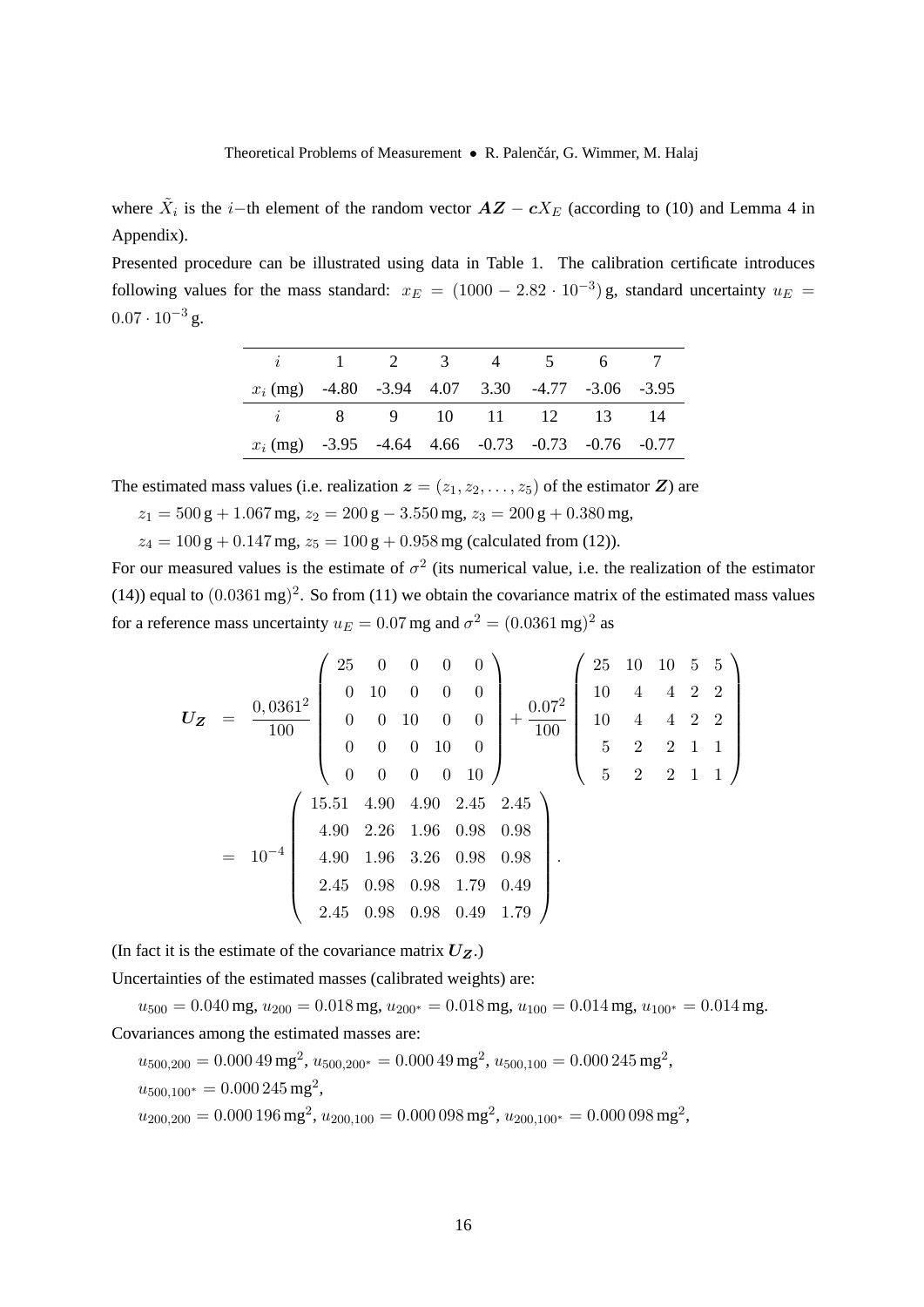where  $\tilde{X}_i$  is the *i*-th element of the random vector  $\boldsymbol{A}\boldsymbol{Z} - \boldsymbol{c}X_E$  (according to (10) and Lemma 4 in Appendix).

Presented procedure can be illustrated using data in Table 1. The calibration certificate introduces following values for the mass standard:  $x_E = (1000 - 2.82 \cdot 10^{-3})$  g, standard uncertainty  $u_E =$  $0.07 \cdot 10^{-3}$  g.

|                                                                  |                             |  | $i \qquad 1 \qquad 2 \qquad 3 \qquad 4 \qquad 5 \qquad 6 \qquad 7$ |  |
|------------------------------------------------------------------|-----------------------------|--|--------------------------------------------------------------------|--|
| $x_i$ (mg) $-4.80$ $-3.94$ $4.07$ $3.30$ $-4.77$ $-3.06$ $-3.95$ |                             |  |                                                                    |  |
|                                                                  | <i>i</i> 8 9 10 11 12 13 14 |  |                                                                    |  |
|                                                                  |                             |  |                                                                    |  |

The estimated mass values (i.e. realization  $\boldsymbol{z} = (z_1, z_2, \dots, z_5)$  of the estimator  $\boldsymbol{Z}$ ) are

$$
z_1 = 500 \text{ g} + 1.067 \text{ mg}, z_2 = 200 \text{ g} - 3.550 \text{ mg}, z_3 = 200 \text{ g} + 0.380 \text{ mg},
$$

 $z_4 = 100 \text{ g} + 0.147 \text{ mg}, z_5 = 100 \text{ g} + 0.958 \text{ mg}$  (calculated from (12)).

For our measured values is the estimate of  $\sigma^2$  (its numerical value, i.e. the realization of the estimator (14)) equal to  $(0.0361 \text{ mg})^2$ . So from (11) we obtain the covariance matrix of the estimated mass values for a reference mass uncertainty  $u_E = 0.07$  mg and  $\sigma^2 = (0.0361 \,\text{mg})^2$  as

$$
U_Z = \frac{0,0361^2}{100} \begin{pmatrix} 25 & 0 & 0 & 0 & 0 \\ 0 & 10 & 0 & 0 & 0 \\ 0 & 0 & 10 & 0 & 0 \\ 0 & 0 & 0 & 10 & 0 \\ 0 & 0 & 0 & 0 & 10 \end{pmatrix} + \frac{0.07^2}{100} \begin{pmatrix} 25 & 10 & 10 & 5 & 5 \\ 10 & 4 & 4 & 2 & 2 \\ 10 & 4 & 4 & 2 & 2 \\ 5 & 2 & 2 & 1 & 1 \\ 5 & 2 & 2 & 1 & 1 \end{pmatrix}
$$
  
=  $10^{-4}$  
$$
\begin{pmatrix} 15.51 & 4.90 & 4.90 & 2.45 & 2.45 \\ 4.90 & 2.26 & 1.96 & 0.98 & 0.98 \\ 2.45 & 0.98 & 0.98 & 1.79 & 0.49 \\ 2.45 & 0.98 & 0.98 & 0.49 & 1.79 \end{pmatrix}.
$$

(In fact it is the estimate of the covariance matrix  $U_Z$ .)

Uncertainties of the estimated masses (calibrated weights) are:

 $u_{500} = 0.040$  mg,  $u_{200} = 0.018$  mg,  $u_{200*} = 0.018$  mg,  $u_{100} = 0.014$  mg,  $u_{100*} = 0.014$  mg. Covariances among the estimated masses are:

 $u_{500,200} = 0.00049 \,\mathrm{mg}^2$ ,  $u_{500,200^*} = 0.00049 \,\mathrm{mg}^2$ ,  $u_{500,100} = 0.000245 \,\mathrm{mg}^2$ ,  $u_{500,100^*} = 0.000245 \,\mathrm{mg}^2,$ 

 $u_{200,200} = 0.000196 \,\mathrm{mg}^2$ ,  $u_{200,100} = 0.000098 \,\mathrm{mg}^2$ ,  $u_{200,100^*} = 0.000098 \,\mathrm{mg}^2$ ,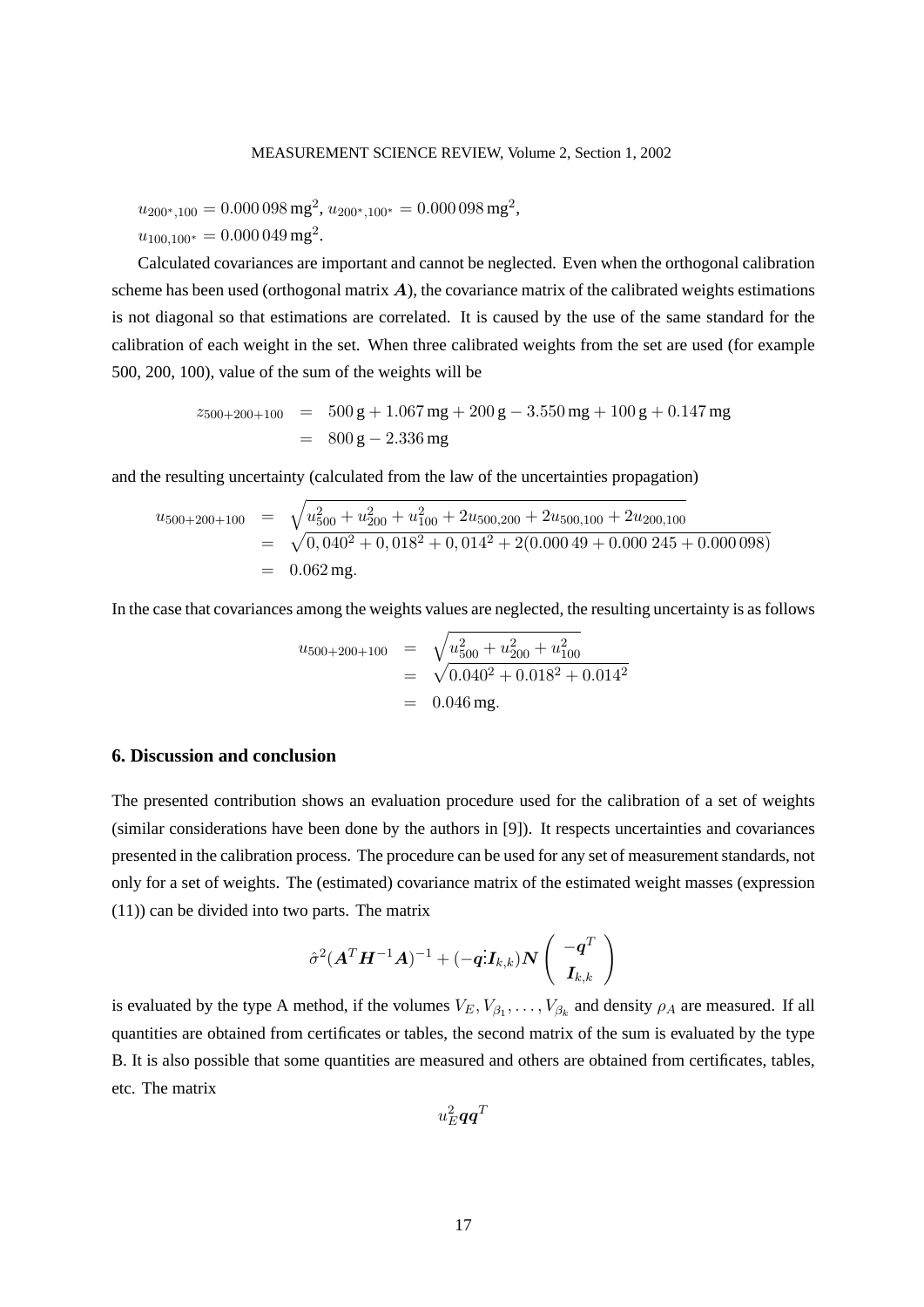#### MEASUREMENT SCIENCE REVIEW, Volume 2, Section 1, 2002

 $u_{200^*,100} = 0.000\,098\,\text{mg}^2$ ,  $u_{200^*,100^*} = 0.000\,098\,\text{mg}^2$ ,  $u_{100,100^*} = 0.000\,049\,\text{mg}^2.$ 

Calculated covariances are important and cannot be neglected. Even when the orthogonal calibration scheme has been used (orthogonal matrix  $\bf{A}$ ), the covariance matrix of the calibrated weights estimations is not diagonal so that estimations are correlated. It is caused by the use of the same standard for the calibration of each weight in the set. When three calibrated weights from the set are used (for example 500, 200, 100), value of the sum of the weights will be

$$
z_{500+200+100} = 500 \text{ g} + 1.067 \text{ mg} + 200 \text{ g} - 3.550 \text{ mg} + 100 \text{ g} + 0.147 \text{ mg}
$$
  
= 800 \text{ g} - 2.336 \text{ mg}

and the resulting uncertainty (calculated from the law of the uncertainties propagation)

$$
u_{500+200+100} = \sqrt{u_{500}^2 + u_{200}^2 + u_{100}^2 + 2u_{500,200} + 2u_{500,100} + 2u_{200,100}}
$$
  
=  $\sqrt{0,040^2 + 0,018^2 + 0,014^2 + 2(0.00049 + 0.000245 + 0.000098)}$   
= 0.062 mg.

In the case that covariances among the weights values are neglected, the resulting uncertainty is as follows

$$
u_{500+200+100} = \sqrt{u_{500}^2 + u_{200}^2 + u_{100}^2}
$$
  
=  $\sqrt{0.040^2 + 0.018^2 + 0.014^2}$   
= 0.046 mg.

## **6. Discussion and conclusion**

The presented contribution shows an evaluation procedure used for the calibration of a set of weights (similar considerations have been done by the authors in [9]). It respects uncertainties and covariances presented in the calibration process. The procedure can be used for any set of measurement standards, not only for a set of weights. The (estimated) covariance matrix of the estimated weight masses (expression (11)) can be divided into two parts. The matrix

$$
\hat{\sigma}^2 (\boldsymbol{A}^T \boldsymbol{H}^{-1} \boldsymbol{A})^{-1} + (-\boldsymbol{q}^{\mathrm{T}} \boldsymbol{I}_{k,k}) \boldsymbol{N} \left( \begin{array}{c} -\boldsymbol{q}^T \\ \boldsymbol{I}_{k,k} \end{array} \right)
$$

is evaluated by the type A method, if the volumes  $V_E, V_{\beta_1}, \ldots, V_{\beta_k}$  and density  $\rho_A$  are measured. If all quantities are obtained from certificates or tables, the second matrix of the sum is evaluated by the type B. It is also possible that some quantities are measured and others are obtained from certificates, tables, etc. The matrix

 $u_E^2\bm{q}\bm{q}^T$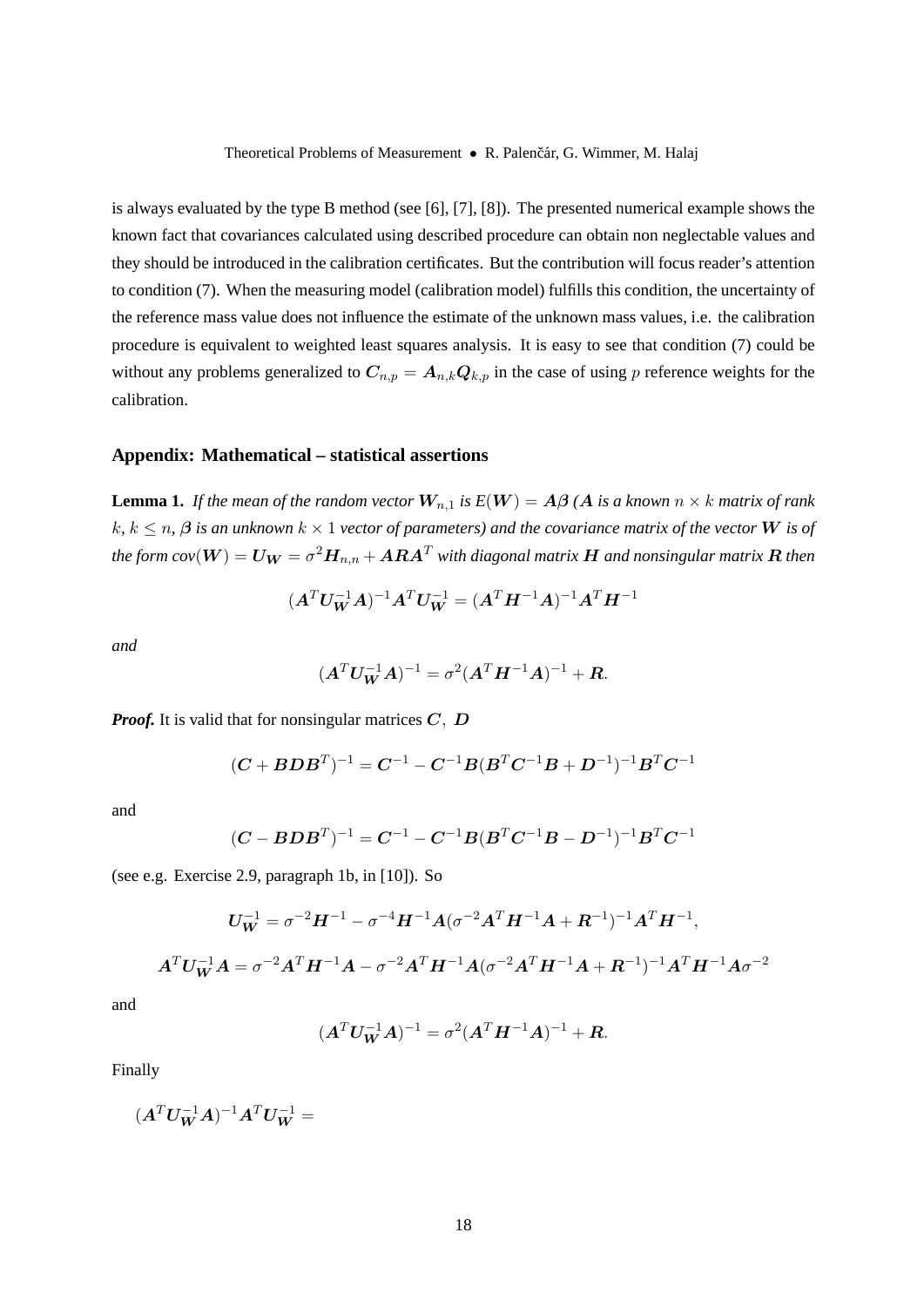is always evaluated by the type B method (see [6], [7], [8]). The presented numerical example shows the known fact that covariances calculated using described procedure can obtain non neglectable values and they should be introduced in the calibration certificates. But the contribution will focus reader's attention to condition (7). When the measuring model (calibration model) fulfills this condition, the uncertainty of the reference mass value does not influence the estimate of the unknown mass values, i.e. the calibration procedure is equivalent to weighted least squares analysis. It is easy to see that condition (7) could be without any problems generalized to  $C_{n,p} = A_{n,k} Q_{k,p}$  in the case of using p reference weights for the calibration.

# **Appendix: Mathematical – statistical assertions**

**Lemma 1.** *If the mean of the random vector*  $W_{n,1}$  *is*  $E(W) = A\beta(A)$  *is a known*  $n \times k$  *matrix of rank*  $k, k \leq n$ ,  $\beta$  *is an unknown*  $k \times 1$  *vector of parameters) and the covariance matrix of the vector* **W** *is of* the form  $cov(\bm{W})=\bm{U_{W}}=\sigma^2\bm{H}_{n,n}+\bm{A}\bm{R}\bm{A}^T$  with diagonal matrix  $\bm{H}$  and nonsingular matrix  $\bm{R}$  then

$$
(\boldsymbol{A}^T\boldsymbol{U_W^{-1}A})^{-1}\boldsymbol{A}^T\boldsymbol{U_W^{-1}} = (\boldsymbol{A}^T\boldsymbol{H}^{-1}\boldsymbol{A})^{-1}\boldsymbol{A}^T\boldsymbol{H}^{-1}
$$

*and*

$$
(\boldsymbol{A}^T \boldsymbol{U_W}^{-1} \boldsymbol{A})^{-1} = \sigma^2 (\boldsymbol{A}^T \boldsymbol{H}^{-1} \boldsymbol{A})^{-1} + \boldsymbol{R}.
$$

*Proof.* It is valid that for nonsingular matrices C, D

$$
(\boldsymbol{C}+\boldsymbol{B}\boldsymbol{D}\boldsymbol{B}^{T})^{-1}=\boldsymbol{C}^{-1}-\boldsymbol{C}^{-1}\boldsymbol{B}(\boldsymbol{B}^{T}\boldsymbol{C}^{-1}\boldsymbol{B}+\boldsymbol{D}^{-1})^{-1}\boldsymbol{B}^{T}\boldsymbol{C}^{-1}
$$

and

$$
(\boldsymbol{C}-\boldsymbol{B}\boldsymbol{D}\boldsymbol{B}^{T})^{-1}=\boldsymbol{C}^{-1}-\boldsymbol{C}^{-1}\boldsymbol{B}(\boldsymbol{B}^{T}\boldsymbol{C}^{-1}\boldsymbol{B}-\boldsymbol{D}^{-1})^{-1}\boldsymbol{B}^{T}\boldsymbol{C}^{-1}
$$

(see e.g. Exercise 2.9, paragraph 1b, in [10]). So

$$
U_W^{-1} = \sigma^{-2} H^{-1} - \sigma^{-4} H^{-1} A (\sigma^{-2} A^T H^{-1} A + R^{-1})^{-1} A^T H^{-1},
$$
  

$$
A^T U_W^{-1} A = \sigma^{-2} A^T H^{-1} A - \sigma^{-2} A^T H^{-1} A (\sigma^{-2} A^T H^{-1} A + R^{-1})^{-1} A^T H^{-1} A \sigma^{-2}
$$

and

$$
(\boldsymbol{A}^T \boldsymbol{U}_{\boldsymbol{W}}^{-1} \boldsymbol{A})^{-1} = \sigma^2 (\boldsymbol{A}^T \boldsymbol{H}^{-1} \boldsymbol{A})^{-1} + \boldsymbol{R}.
$$

Finally

$$
(\boldsymbol{A}^T\boldsymbol{U_W^{-1}A})^{-1}\boldsymbol{A}^T\boldsymbol{U_W^{-1}}=
$$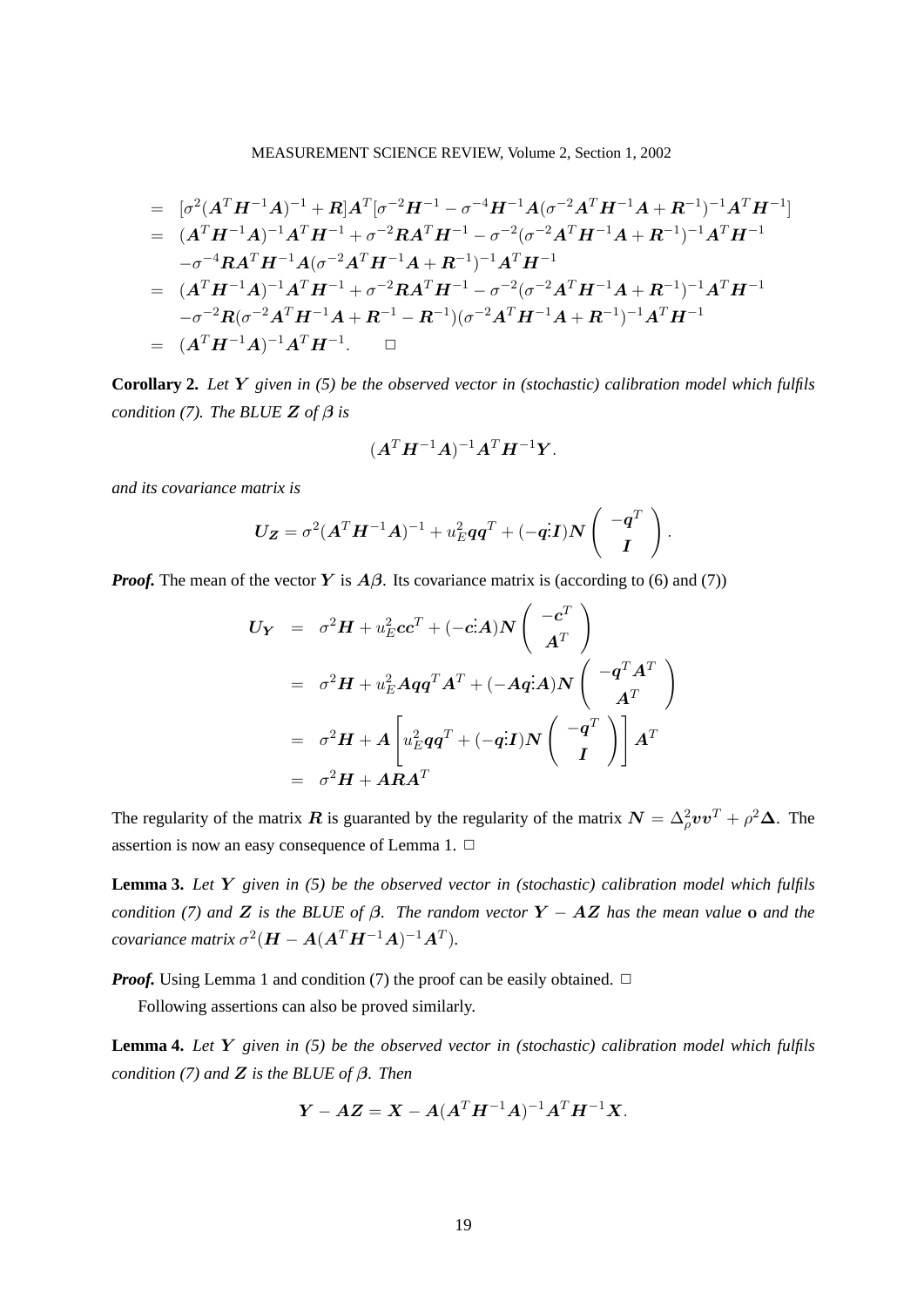MEASUREMENT SCIENCE REVIEW, Volume 2, Section 1, 2002

$$
= [\sigma^2 (A^T H^{-1} A)^{-1} + R] A^T [\sigma^{-2} H^{-1} - \sigma^{-4} H^{-1} A (\sigma^{-2} A^T H^{-1} A + R^{-1})^{-1} A^T H^{-1}]
$$
  
\n
$$
= (A^T H^{-1} A)^{-1} A^T H^{-1} + \sigma^{-2} R A^T H^{-1} - \sigma^{-2} (\sigma^{-2} A^T H^{-1} A + R^{-1})^{-1} A^T H^{-1}
$$
  
\n
$$
- \sigma^{-4} R A^T H^{-1} A (\sigma^{-2} A^T H^{-1} A + R^{-1})^{-1} A^T H^{-1}
$$
  
\n
$$
= (A^T H^{-1} A)^{-1} A^T H^{-1} + \sigma^{-2} R A^T H^{-1} - \sigma^{-2} (\sigma^{-2} A^T H^{-1} A + R^{-1})^{-1} A^T H^{-1}
$$
  
\n
$$
- \sigma^{-2} R (\sigma^{-2} A^T H^{-1} A + R^{-1} - R^{-1}) (\sigma^{-2} A^T H^{-1} A + R^{-1})^{-1} A^T H^{-1}
$$
  
\n
$$
= (A^T H^{-1} A)^{-1} A^T H^{-1}.
$$

**Corollary 2.** *Let* Y *given in (5) be the observed vector in (stochastic) calibration model which fulfils condition (7). The BLUE Z of*  $\beta$  *is* 

$$
(\boldsymbol{A}^T\boldsymbol{H}^{-1}\boldsymbol{A})^{-1}\boldsymbol{A}^T\boldsymbol{H}^{-1}\boldsymbol{Y}.
$$

*and its covariance matrix is*

$$
U_Z = \sigma^2 (A^T H^{-1} A)^{-1} + u_E^2 q q^T + (-qI) N \begin{pmatrix} -q^T \\ I \end{pmatrix}.
$$

*Proof.* The mean of the vector Y is  $A\beta$ . Its covariance matrix is (according to (6) and (7))

$$
U_Y = \sigma^2 H + u_E^2 c c^T + (-c \cdot A) N \begin{pmatrix} -c^T \\ A^T \end{pmatrix}
$$
  
=  $\sigma^2 H + u_E^2 A q q^T A^T + (-A q \cdot A) N \begin{pmatrix} -q^T A^T \\ A^T \end{pmatrix}$   
=  $\sigma^2 H + A \begin{bmatrix} u_E^2 q q^T + (-q \cdot I) N \begin{pmatrix} -q^T \\ I \end{pmatrix} \end{bmatrix} A^T$   
=  $\sigma^2 H + A R A^T$ 

The regularity of the matrix  $\bm{R}$  is guaranted by the regularity of the matrix  $\bm{N} = \Delta_{\rho}^2 \bm{v} \bm{v}^T + \rho^2 \bm{\Delta}$ . The assertion is now an easy consequence of Lemma 1.  $\Box$ 

**Lemma 3.** *Let* Y *given in (5) be the observed vector in (stochastic) calibration model which fulfils condition (7) and* Z *is the BLUE of*  $\beta$ *. The random vector* Y – AZ *has the mean value* o *and the covariance matrix*  $\sigma^2(\boldsymbol{H} - \boldsymbol{A}(\boldsymbol{A}^T\boldsymbol{H}^{-1}\boldsymbol{A})^{-1}\boldsymbol{A}^T)$ .

*Proof.* Using Lemma 1 and condition (7) the proof can be easily obtained.  $\Box$ 

Following assertions can also be proved similarly.

**Lemma 4.** *Let* Y *given in (5) be the observed vector in (stochastic) calibration model which fulfils condition (7) and* Z *is the BLUE of* β*. Then*

$$
Y - AZ = X - A(A^T H^{-1} A)^{-1} A^T H^{-1} X.
$$